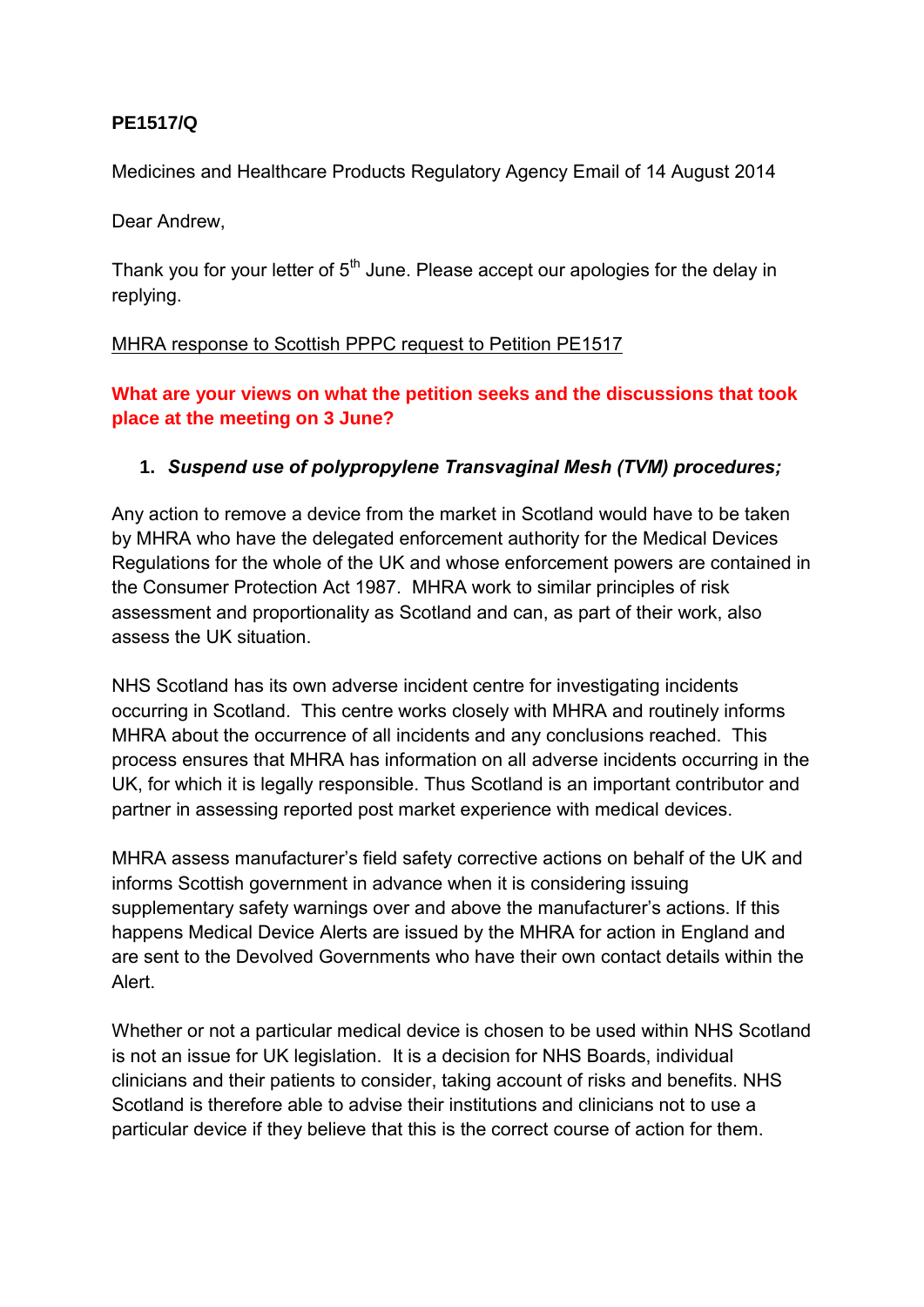### **PE1517/Q**

Medicines and Healthcare Products Regulatory Agency Email of 14 August 2014

Dear Andrew,

Thank you for your letter of 5<sup>th</sup> June. Please accept our apologies for the delay in replying.

### MHRA response to Scottish PPPC request to Petition PE1517

**What are your views on what the petition seeks and the discussions that took place at the meeting on 3 June?** 

### **1.** *Suspend use of polypropylene Transvaginal Mesh (TVM) procedures;*

Any action to remove a device from the market in Scotland would have to be taken by MHRA who have the delegated enforcement authority for the Medical Devices Regulations for the whole of the UK and whose enforcement powers are contained in the Consumer Protection Act 1987. MHRA work to similar principles of risk assessment and proportionality as Scotland and can, as part of their work, also assess the UK situation.

NHS Scotland has its own adverse incident centre for investigating incidents occurring in Scotland. This centre works closely with MHRA and routinely informs MHRA about the occurrence of all incidents and any conclusions reached. This process ensures that MHRA has information on all adverse incidents occurring in the UK, for which it is legally responsible. Thus Scotland is an important contributor and partner in assessing reported post market experience with medical devices.

MHRA assess manufacturer's field safety corrective actions on behalf of the UK and informs Scottish government in advance when it is considering issuing supplementary safety warnings over and above the manufacturer's actions. If this happens Medical Device Alerts are issued by the MHRA for action in England and are sent to the Devolved Governments who have their own contact details within the Alert.

Whether or not a particular medical device is chosen to be used within NHS Scotland is not an issue for UK legislation. It is a decision for NHS Boards, individual clinicians and their patients to consider, taking account of risks and benefits. NHS Scotland is therefore able to advise their institutions and clinicians not to use a particular device if they believe that this is the correct course of action for them.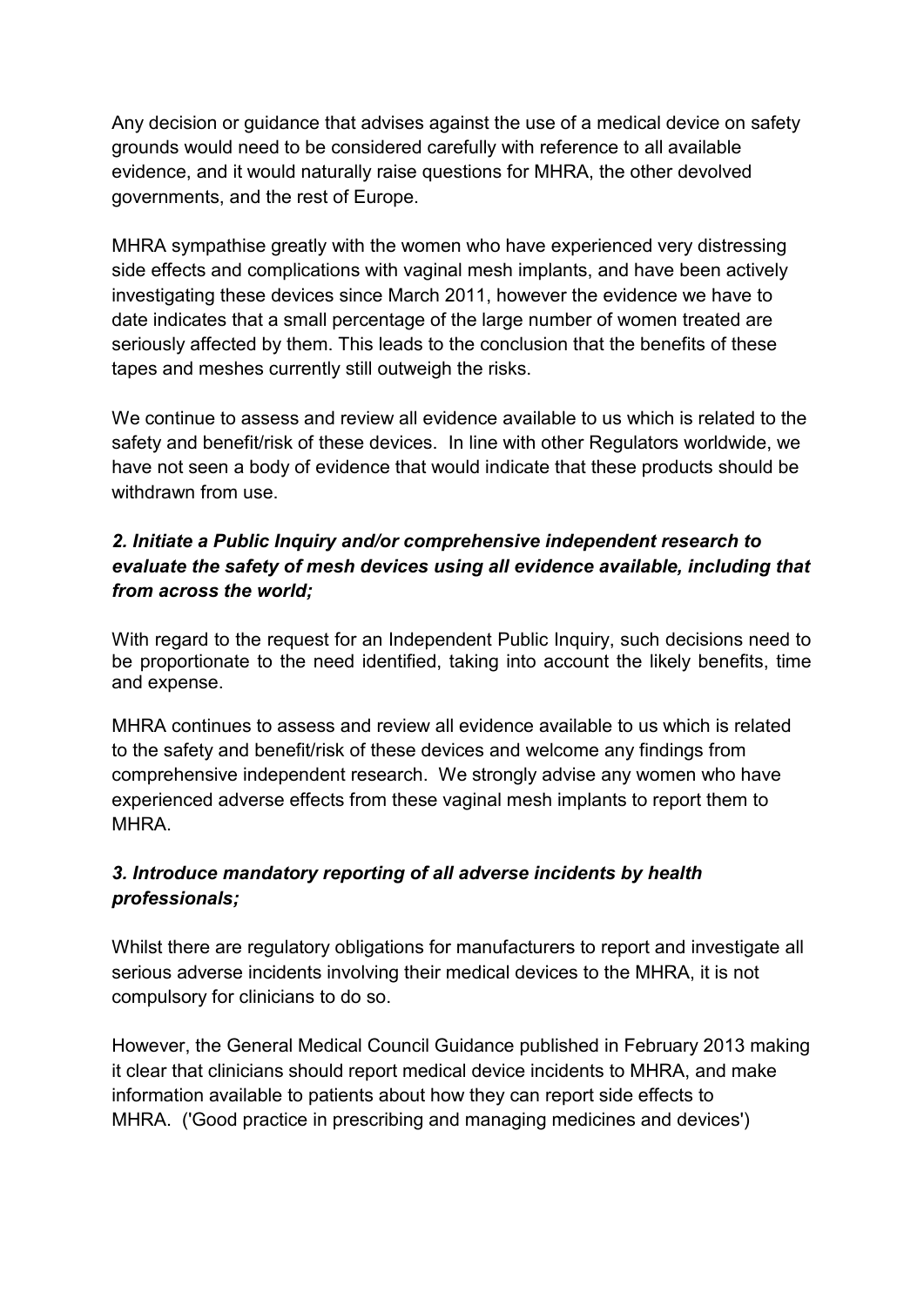Any decision or guidance that advises against the use of a medical device on safety grounds would need to be considered carefully with reference to all available evidence, and it would naturally raise questions for MHRA, the other devolved governments, and the rest of Europe.

MHRA sympathise greatly with the women who have experienced very distressing side effects and complications with vaginal mesh implants, and have been actively investigating these devices since March 2011, however the evidence we have to date indicates that a small percentage of the large number of women treated are seriously affected by them. This leads to the conclusion that the benefits of these tapes and meshes currently still outweigh the risks.

We continue to assess and review all evidence available to us which is related to the safety and benefit/risk of these devices. In line with other Regulators worldwide, we have not seen a body of evidence that would indicate that these products should be withdrawn from use.

## *2. Initiate a Public Inquiry and/or comprehensive independent research to evaluate the safety of mesh devices using all evidence available, including that from across the world;*

With regard to the request for an Independent Public Inquiry, such decisions need to be proportionate to the need identified, taking into account the likely benefits, time and expense.

MHRA continues to assess and review all evidence available to us which is related to the safety and benefit/risk of these devices and welcome any findings from comprehensive independent research. We strongly advise any women who have experienced adverse effects from these vaginal mesh implants to report them to MHRA.

## *3. Introduce mandatory reporting of all adverse incidents by health professionals;*

Whilst there are regulatory obligations for manufacturers to report and investigate all serious adverse incidents involving their medical devices to the MHRA, it is not compulsory for clinicians to do so.

However, the General Medical Council Guidance published in February 2013 making it clear that clinicians should report medical device incidents to MHRA, and make information available to patients about how they can report side effects to MHRA. ('Good practice in prescribing and managing medicines and devices')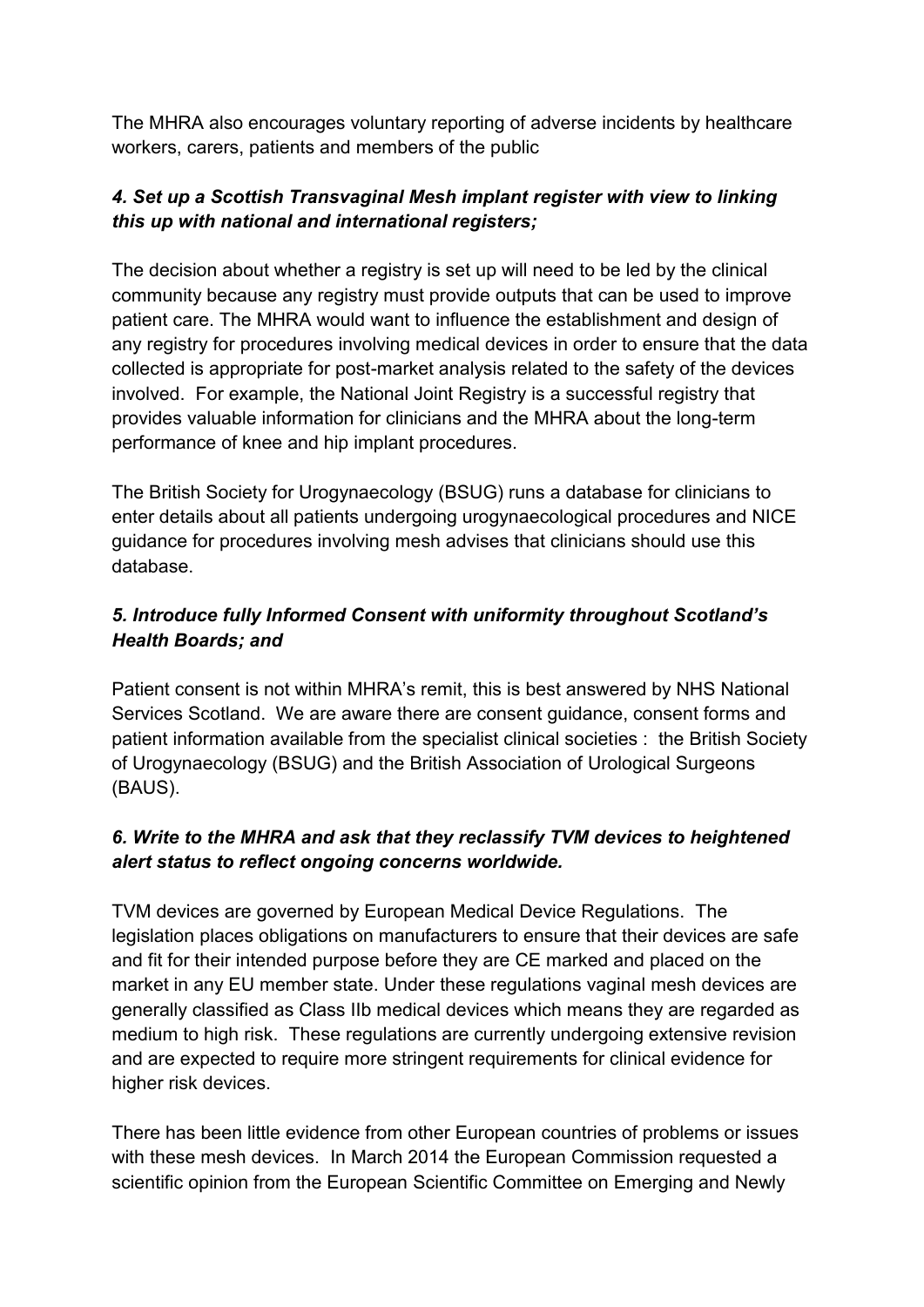The MHRA also encourages voluntary reporting of adverse incidents by healthcare workers, carers, patients and members of the public

# *4. Set up a Scottish Transvaginal Mesh implant register with view to linking this up with national and international registers;*

The decision about whether a registry is set up will need to be led by the clinical community because any registry must provide outputs that can be used to improve patient care. The MHRA would want to influence the establishment and design of any registry for procedures involving medical devices in order to ensure that the data collected is appropriate for post-market analysis related to the safety of the devices involved. For example, the National Joint Registry is a successful registry that provides valuable information for clinicians and the MHRA about the long-term performance of knee and hip implant procedures.

The British Society for Urogynaecology (BSUG) runs a database for clinicians to enter details about all patients undergoing urogynaecological procedures and NICE guidance for procedures involving mesh advises that clinicians should use this database.

# *5. Introduce fully Informed Consent with uniformity throughout Scotland's Health Boards; and*

Patient consent is not within MHRA's remit, this is best answered by NHS National Services Scotland. We are aware there are consent guidance, consent forms and patient information available from the specialist clinical societies : the British Society of Urogynaecology (BSUG) and the British Association of Urological Surgeons (BAUS).

## *6. Write to the MHRA and ask that they reclassify TVM devices to heightened alert status to reflect ongoing concerns worldwide.*

TVM devices are governed by European Medical Device Regulations. The legislation places obligations on manufacturers to ensure that their devices are safe and fit for their intended purpose before they are CE marked and placed on the market in any EU member state. Under these regulations vaginal mesh devices are generally classified as Class IIb medical devices which means they are regarded as medium to high risk. These regulations are currently undergoing extensive revision and are expected to require more stringent requirements for clinical evidence for higher risk devices.

There has been little evidence from other European countries of problems or issues with these mesh devices. In March 2014 the European Commission requested a scientific opinion from the European Scientific Committee on Emerging and Newly